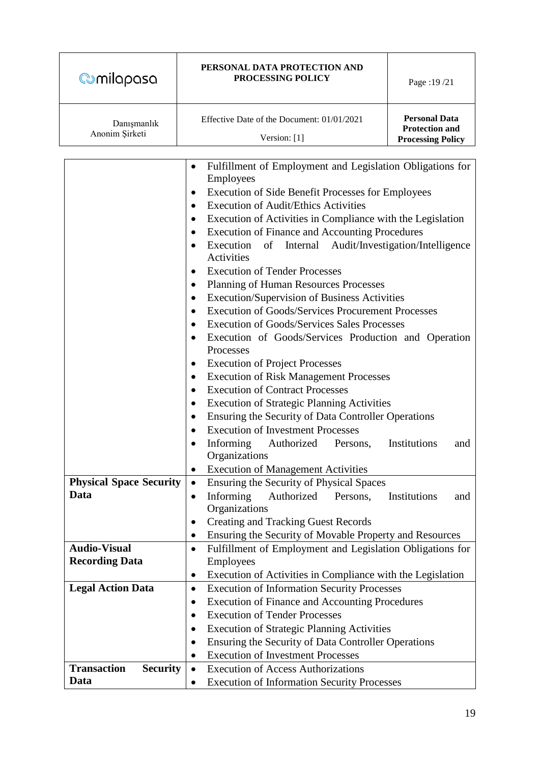| <b>@milapasa</b>                       | PERSONAL DATA PROTECTION AND<br>PROCESSING POLICY                                                                                                                                                                                                                                                                                                                                                                                                                                                                                                                                                                                                                                                                                                                                                                                                                                                                                                                                                                                                                                                                                                                                                                                                                                                | Page: 19/21                                                               |  |
|----------------------------------------|--------------------------------------------------------------------------------------------------------------------------------------------------------------------------------------------------------------------------------------------------------------------------------------------------------------------------------------------------------------------------------------------------------------------------------------------------------------------------------------------------------------------------------------------------------------------------------------------------------------------------------------------------------------------------------------------------------------------------------------------------------------------------------------------------------------------------------------------------------------------------------------------------------------------------------------------------------------------------------------------------------------------------------------------------------------------------------------------------------------------------------------------------------------------------------------------------------------------------------------------------------------------------------------------------|---------------------------------------------------------------------------|--|
| Danışmanlık<br>Anonim Şirketi          | Effective Date of the Document: 01/01/2021<br>Version: [1]                                                                                                                                                                                                                                                                                                                                                                                                                                                                                                                                                                                                                                                                                                                                                                                                                                                                                                                                                                                                                                                                                                                                                                                                                                       | <b>Personal Data</b><br><b>Protection and</b><br><b>Processing Policy</b> |  |
|                                        |                                                                                                                                                                                                                                                                                                                                                                                                                                                                                                                                                                                                                                                                                                                                                                                                                                                                                                                                                                                                                                                                                                                                                                                                                                                                                                  |                                                                           |  |
|                                        | Fulfillment of Employment and Legislation Obligations for<br>٠<br>Employees<br><b>Execution of Side Benefit Processes for Employees</b><br>$\bullet$<br><b>Execution of Audit/Ethics Activities</b><br>$\bullet$<br>Execution of Activities in Compliance with the Legislation<br>٠<br>Execution of Finance and Accounting Procedures<br>٠<br>Execution<br>of<br>Audit/Investigation/Intelligence<br>Internal<br>$\bullet$<br>Activities<br><b>Execution of Tender Processes</b><br>٠<br><b>Planning of Human Resources Processes</b><br>٠<br>Execution/Supervision of Business Activities<br>٠<br><b>Execution of Goods/Services Procurement Processes</b><br>٠<br><b>Execution of Goods/Services Sales Processes</b><br>٠<br>Execution of Goods/Services Production and Operation<br>٠<br>Processes<br><b>Execution of Project Processes</b><br>$\bullet$<br><b>Execution of Risk Management Processes</b><br>٠<br><b>Execution of Contract Processes</b><br>$\bullet$<br><b>Execution of Strategic Planning Activities</b><br>٠<br>Ensuring the Security of Data Controller Operations<br>٠<br><b>Execution of Investment Processes</b><br>$\bullet$<br>Informing<br>Authorized<br>Institutions<br>Persons,<br>and<br>Organizations<br><b>Execution of Management Activities</b><br>$\bullet$ |                                                                           |  |
| <b>Physical Space Security</b><br>Data | Ensuring the Security of Physical Spaces<br>$\bullet$<br>Informing<br>Authorized<br>Persons,<br>$\bullet$<br>Organizations<br><b>Creating and Tracking Guest Records</b><br>$\bullet$                                                                                                                                                                                                                                                                                                                                                                                                                                                                                                                                                                                                                                                                                                                                                                                                                                                                                                                                                                                                                                                                                                            | Institutions<br>and                                                       |  |
| <b>Audio-Visual</b>                    | Ensuring the Security of Movable Property and Resources<br>٠<br>Fulfillment of Employment and Legislation Obligations for                                                                                                                                                                                                                                                                                                                                                                                                                                                                                                                                                                                                                                                                                                                                                                                                                                                                                                                                                                                                                                                                                                                                                                        |                                                                           |  |
| <b>Recording Data</b>                  | $\bullet$<br>Employees                                                                                                                                                                                                                                                                                                                                                                                                                                                                                                                                                                                                                                                                                                                                                                                                                                                                                                                                                                                                                                                                                                                                                                                                                                                                           |                                                                           |  |
|                                        | Execution of Activities in Compliance with the Legislation<br>$\bullet$                                                                                                                                                                                                                                                                                                                                                                                                                                                                                                                                                                                                                                                                                                                                                                                                                                                                                                                                                                                                                                                                                                                                                                                                                          |                                                                           |  |
| <b>Legal Action Data</b>               | <b>Execution of Information Security Processes</b><br>$\bullet$                                                                                                                                                                                                                                                                                                                                                                                                                                                                                                                                                                                                                                                                                                                                                                                                                                                                                                                                                                                                                                                                                                                                                                                                                                  |                                                                           |  |
|                                        | <b>Execution of Finance and Accounting Procedures</b><br>$\bullet$                                                                                                                                                                                                                                                                                                                                                                                                                                                                                                                                                                                                                                                                                                                                                                                                                                                                                                                                                                                                                                                                                                                                                                                                                               |                                                                           |  |
|                                        | <b>Execution of Tender Processes</b><br>$\bullet$                                                                                                                                                                                                                                                                                                                                                                                                                                                                                                                                                                                                                                                                                                                                                                                                                                                                                                                                                                                                                                                                                                                                                                                                                                                |                                                                           |  |
|                                        | <b>Execution of Strategic Planning Activities</b><br>Ensuring the Security of Data Controller Operations<br>٠                                                                                                                                                                                                                                                                                                                                                                                                                                                                                                                                                                                                                                                                                                                                                                                                                                                                                                                                                                                                                                                                                                                                                                                    |                                                                           |  |
|                                        | <b>Execution of Investment Processes</b>                                                                                                                                                                                                                                                                                                                                                                                                                                                                                                                                                                                                                                                                                                                                                                                                                                                                                                                                                                                                                                                                                                                                                                                                                                                         |                                                                           |  |
| <b>Transaction</b><br><b>Security</b>  | <b>Execution of Access Authorizations</b><br>$\bullet$                                                                                                                                                                                                                                                                                                                                                                                                                                                                                                                                                                                                                                                                                                                                                                                                                                                                                                                                                                                                                                                                                                                                                                                                                                           |                                                                           |  |
| Data                                   |                                                                                                                                                                                                                                                                                                                                                                                                                                                                                                                                                                                                                                                                                                                                                                                                                                                                                                                                                                                                                                                                                                                                                                                                                                                                                                  | <b>Execution of Information Security Processes</b>                        |  |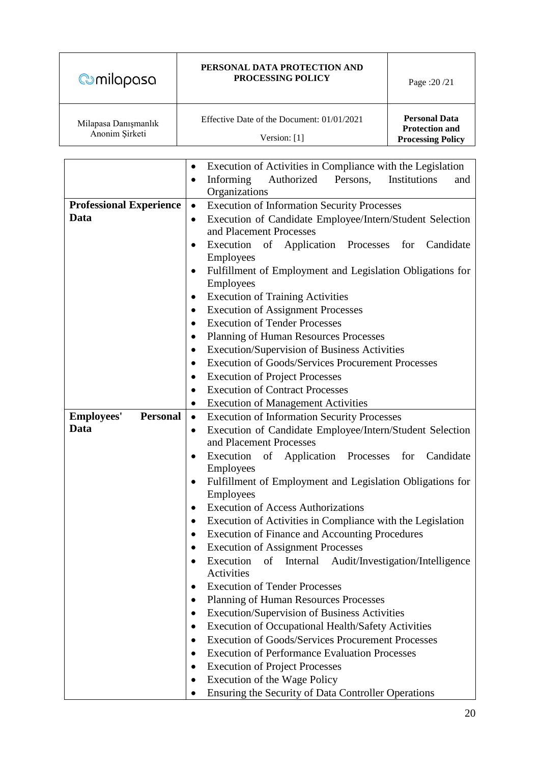| <b>@milapasa</b>                       | PERSONAL DATA PROTECTION AND<br><b>PROCESSING POLICY</b>   | Page: $20/21$                                                             |
|----------------------------------------|------------------------------------------------------------|---------------------------------------------------------------------------|
| Milapasa Danışmanlık<br>Anonim Sirketi | Effective Date of the Document: 01/01/2021<br>Version: [1] | <b>Personal Data</b><br><b>Protection and</b><br><b>Processing Policy</b> |

|                                      | Execution of Activities in Compliance with the Legislation<br>$\bullet$             |  |
|--------------------------------------|-------------------------------------------------------------------------------------|--|
|                                      | Informing<br>Authorized<br>Persons,<br>Institutions<br>and<br>$\bullet$             |  |
|                                      | Organizations                                                                       |  |
| <b>Professional Experience</b>       | <b>Execution of Information Security Processes</b><br>$\bullet$                     |  |
| Data                                 | Execution of Candidate Employee/Intern/Student Selection                            |  |
|                                      | and Placement Processes                                                             |  |
|                                      | Execution of Application Processes<br>for<br>Candidate<br>٠                         |  |
|                                      | Employees                                                                           |  |
|                                      | Fulfillment of Employment and Legislation Obligations for<br>٠                      |  |
|                                      | Employees                                                                           |  |
|                                      | <b>Execution of Training Activities</b>                                             |  |
|                                      | <b>Execution of Assignment Processes</b>                                            |  |
|                                      | <b>Execution of Tender Processes</b>                                                |  |
|                                      | Planning of Human Resources Processes                                               |  |
|                                      | Execution/Supervision of Business Activities                                        |  |
|                                      | <b>Execution of Goods/Services Procurement Processes</b>                            |  |
|                                      | <b>Execution of Project Processes</b>                                               |  |
|                                      | <b>Execution of Contract Processes</b><br>$\bullet$                                 |  |
|                                      | <b>Execution of Management Activities</b><br>$\bullet$                              |  |
| <b>Employees'</b><br><b>Personal</b> | <b>Execution of Information Security Processes</b><br>$\bullet$                     |  |
| Data                                 | Execution of Candidate Employee/Intern/Student Selection<br>$\bullet$               |  |
|                                      | and Placement Processes                                                             |  |
|                                      | Execution<br>of Application Processes<br>for<br>Candidate<br>٠                      |  |
|                                      | Employees                                                                           |  |
|                                      | Fulfillment of Employment and Legislation Obligations for<br>$\bullet$<br>Employees |  |
|                                      | <b>Execution of Access Authorizations</b><br>٠                                      |  |
|                                      | Execution of Activities in Compliance with the Legislation                          |  |
|                                      | $\bullet$<br><b>Execution of Finance and Accounting Procedures</b>                  |  |
|                                      | ٠<br><b>Execution of Assignment Processes</b><br>٠                                  |  |
|                                      | Execution of Internal<br>Audit/Investigation/Intelligence                           |  |
|                                      | Activities                                                                          |  |
|                                      | <b>Execution of Tender Processes</b><br>$\bullet$                                   |  |
|                                      | <b>Planning of Human Resources Processes</b><br>$\bullet$                           |  |
|                                      | Execution/Supervision of Business Activities<br>$\bullet$                           |  |
|                                      | <b>Execution of Occupational Health/Safety Activities</b><br>$\bullet$              |  |
|                                      | <b>Execution of Goods/Services Procurement Processes</b><br>$\bullet$               |  |
|                                      | <b>Execution of Performance Evaluation Processes</b>                                |  |
|                                      | <b>Execution of Project Processes</b><br>$\bullet$                                  |  |
|                                      | Execution of the Wage Policy<br>$\bullet$                                           |  |
|                                      | Ensuring the Security of Data Controller Operations                                 |  |